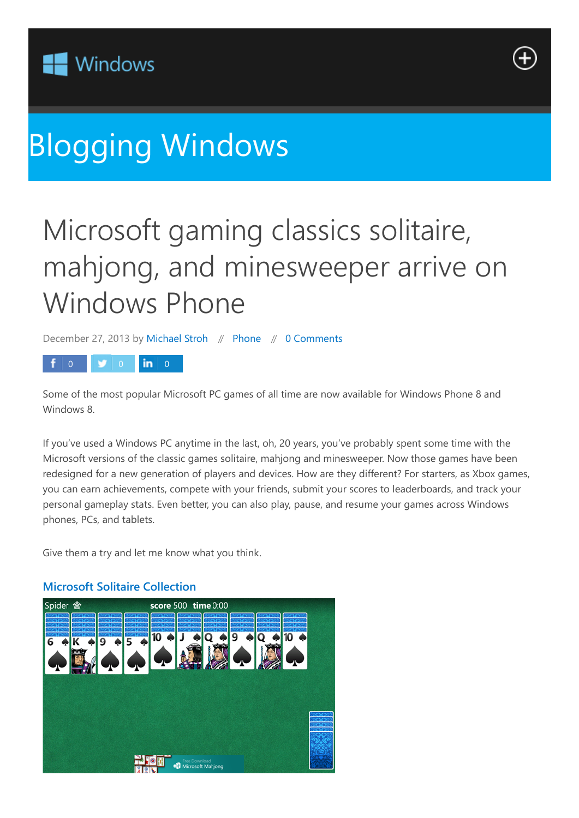



# [Blogging Windows](https://web.archive.org/web/20141002002650/http://blogs.windows.com/bloggingwindows)

## Microsoft gaming classics solitaire, mahjong, and minesweeper arrive on Windows Phone

December 27, 2013 by Michael Stroh // Phone // 0 Comments

### 0 0 0 **in** 0

Some of the most popular Microsoft PC games of all time are now available for Windows Phone 8 and Windows 8.

If you've used a Windows PC anytime in the last, oh, 20 years, you've probably spent some time with the Microsoft versions of the classic games solitaire, mahjong and minesweeper. Now those games have been redesigned for a new generation of players and devices. How are they different? For starters, as Xbox games, you can earn achievements, compete with your friends, submit your scores to leaderboards, and track your personal gameplay stats. Even better, you can also play, pause, and resume your games across Windows phones, PCs, and tablets.

Give them a try and let me know what you think.



#### **Microsoft Solitaire Collection**